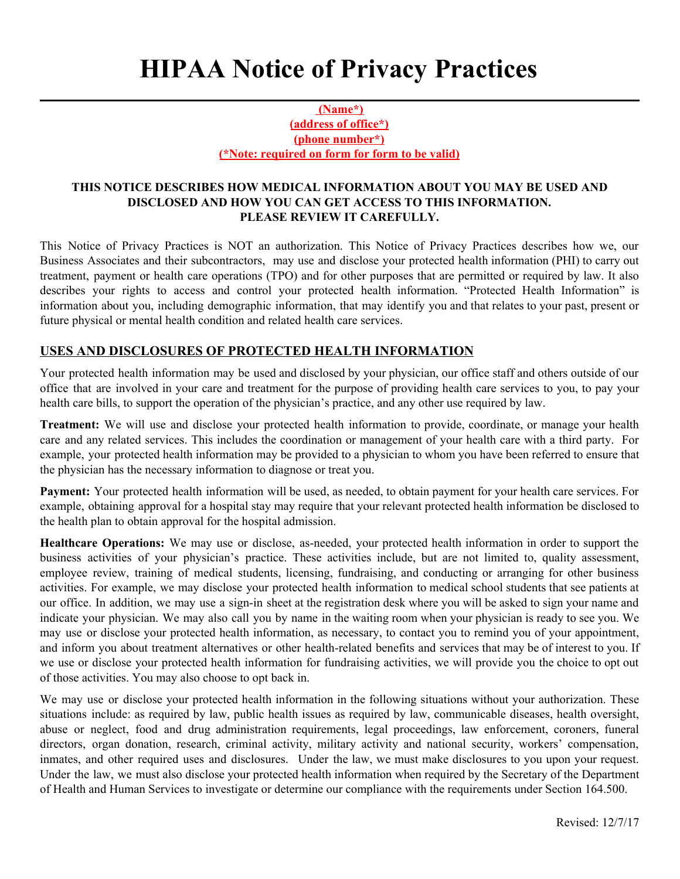# **HIPAA Notice of Privacy Practices**

**(Name\*) (address of office\*) (phone number\*) (\*Note: required on form for form to be valid)**

#### **THIS NOTICE DESCRIBES HOW MEDICAL INFORMATION ABOUT YOU MAY BE USED AND DISCLOSED AND HOW YOU CAN GET ACCESS TO THIS INFORMATION. PLEASE REVIEW IT CAREFULLY.**

This Notice of Privacy Practices is NOT an authorization. This Notice of Privacy Practices describes how we, our Business Associates and their subcontractors, may use and disclose your protected health information (PHI) to carry out treatment, payment or health care operations (TPO) and for other purposes that are permitted or required by law. It also describes your rights to access and control your protected health information. "Protected Health Information" is information about you, including demographic information, that may identify you and that relates to your past, present or future physical or mental health condition and related health care services.

## **USES AND DISCLOSURES OF PROTECTED HEALTH INFORMATION**

Your protected health information may be used and disclosed by your physician, our office staff and others outside of our office that are involved in your care and treatment for the purpose of providing health care services to you, to pay your health care bills, to support the operation of the physician's practice, and any other use required by law.

**Treatment:** We will use and disclose your protected health information to provide, coordinate, or manage your health care and any related services. This includes the coordination or management of your health care with a third party. For example, your protected health information may be provided to a physician to whom you have been referred to ensure that the physician has the necessary information to diagnose or treat you.

**Payment:** Your protected health information will be used, as needed, to obtain payment for your health care services. For example, obtaining approval for a hospital stay may require that your relevant protected health information be disclosed to the health plan to obtain approval for the hospital admission.

**Healthcare Operations:** We may use or disclose, as-needed, your protected health information in order to support the business activities of your physician's practice. These activities include, but are not limited to, quality assessment, employee review, training of medical students, licensing, fundraising, and conducting or arranging for other business activities. For example, we may disclose your protected health information to medical school students that see patients at our office. In addition, we may use a sign-in sheet at the registration desk where you will be asked to sign your name and indicate your physician. We may also call you by name in the waiting room when your physician is ready to see you. We may use or disclose your protected health information, as necessary, to contact you to remind you of your appointment, and inform you about treatment alternatives or other health-related benefits and services that may be of interest to you. If we use or disclose your protected health information for fundraising activities, we will provide you the choice to opt out of those activities. You may also choose to opt back in.

We may use or disclose your protected health information in the following situations without your authorization. These situations include: as required by law, public health issues as required by law, communicable diseases, health oversight, abuse or neglect, food and drug administration requirements, legal proceedings, law enforcement, coroners, funeral directors, organ donation, research, criminal activity, military activity and national security, workers' compensation, inmates, and other required uses and disclosures. Under the law, we must make disclosures to you upon your request. Under the law, we must also disclose your protected health information when required by the Secretary of the Department of Health and Human Services to investigate or determine our compliance with the requirements under Section 164.500.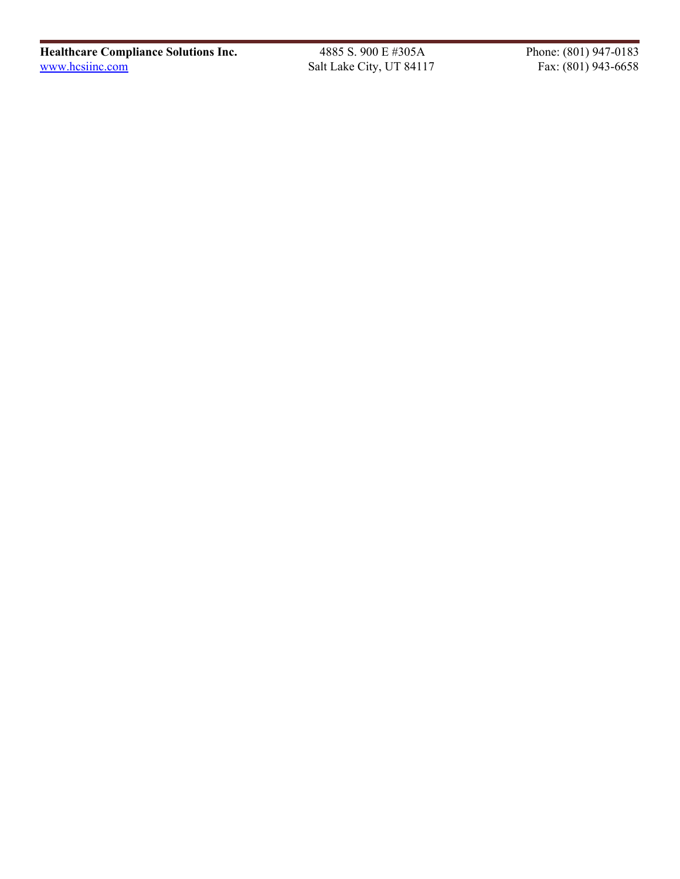Healthcare Compliance Solutions Inc. www.hesiine.com

4885 S. 900 E #305A Salt Lake City, UT 84117 Phone: (801) 947-0183 Fax: (801) 943-6658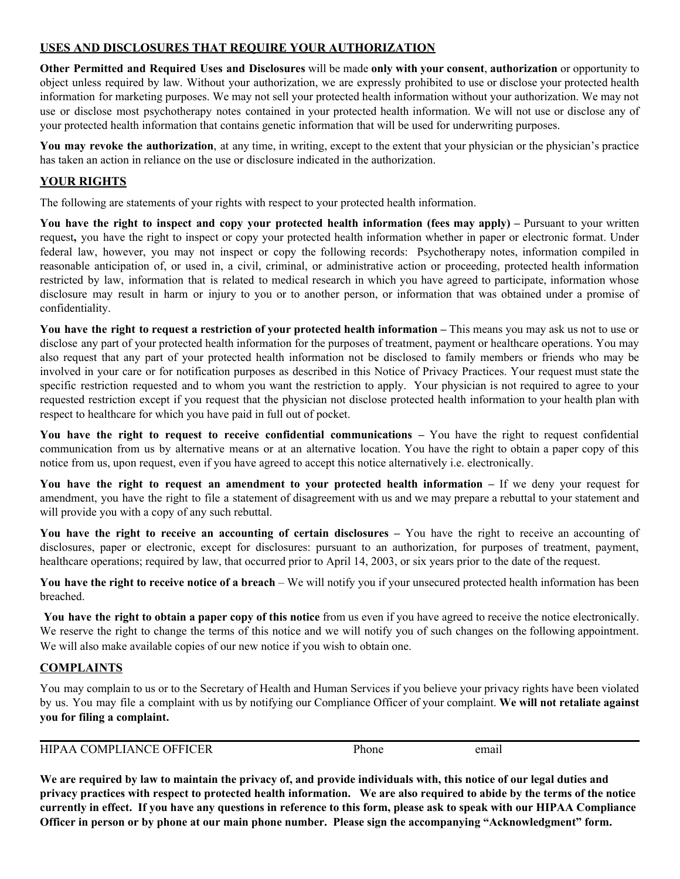#### **USES AND DISCLOSURES THAT REQUIRE YOUR AUTHORIZATION**

**Other Permitted and Required Uses and Disclosures** will be made **only with your consent**, **authorization** or opportunity to object unless required by law. Without your authorization, we are expressly prohibited to use or disclose your protected health information for marketing purposes. We may not sell your protected health information without your authorization. We may not use or disclose most psychotherapy notes contained in your protected health information. We will not use or disclose any of your protected health information that contains genetic information that will be used for underwriting purposes.

**You may revoke the authorization**, at any time, in writing, except to the extent that your physician or the physician's practice has taken an action in reliance on the use or disclosure indicated in the authorization.

### **YOUR RIGHTS**

The following are statements of your rights with respect to your protected health information.

You have the right to inspect and copy your protected health information (fees may apply) – Pursuant to your written request**,** you have the right to inspect or copy your protected health information whether in paper or electronic format. Under federal law, however, you may not inspect or copy the following records: Psychotherapy notes, information compiled in reasonable anticipation of, or used in, a civil, criminal, or administrative action or proceeding, protected health information restricted by law, information that is related to medical research in which you have agreed to participate, information whose disclosure may result in harm or injury to you or to another person, or information that was obtained under a promise of confidentiality.

**You have the right to request a restriction of your protected health information –** This means you may ask us not to use or disclose any part of your protected health information for the purposes of treatment, payment or healthcare operations. You may also request that any part of your protected health information not be disclosed to family members or friends who may be involved in your care or for notification purposes as described in this Notice of Privacy Practices. Your request must state the specific restriction requested and to whom you want the restriction to apply. Your physician is not required to agree to your requested restriction except if you request that the physician not disclose protected health information to your health plan with respect to healthcare for which you have paid in full out of pocket.

**You have the right to request to receive confidential communications –** You have the right to request confidential communication from us by alternative means or at an alternative location. You have the right to obtain a paper copy of this notice from us, upon request, even if you have agreed to accept this notice alternatively i.e. electronically.

**You have the right to request an amendment to your protected health information –** If we deny your request for amendment, you have the right to file a statement of disagreement with us and we may prepare a rebuttal to your statement and will provide you with a copy of any such rebuttal.

**You have the right to receive an accounting of certain disclosures –** You have the right to receive an accounting of disclosures, paper or electronic, except for disclosures: pursuant to an authorization, for purposes of treatment, payment, healthcare operations; required by law, that occurred prior to April 14, 2003, or six years prior to the date of the request.

**You have the right to receive notice of a breach** – We will notify you if your unsecured protected health information has been breached.

**You have the right to obtain a paper copy of this notice** from us even if you have agreed to receive the notice electronically. We reserve the right to change the terms of this notice and we will notify you of such changes on the following appointment. We will also make available copies of our new notice if you wish to obtain one.

#### **COMPLAINTS**

You may complain to us or to the Secretary of Health and Human Services if you believe your privacy rights have been violated by us. You may file a complaint with us by notifying our Compliance Officer of your complaint. **We will not retaliate against you for filing a complaint.**

HIPAA COMPLIANCE OFFICER Phone email

**We are required by law to maintain the privacy of, and provide individuals with, this notice of our legal duties and privacy practices with respect to protected health information. We are also required to abide by the terms of the notice currently in effect. If you have any questions in reference to this form, please ask to speak with our HIPAA Compliance Officer in person or by phone at our main phone number. Please sign the accompanying "Acknowledgment" form.**